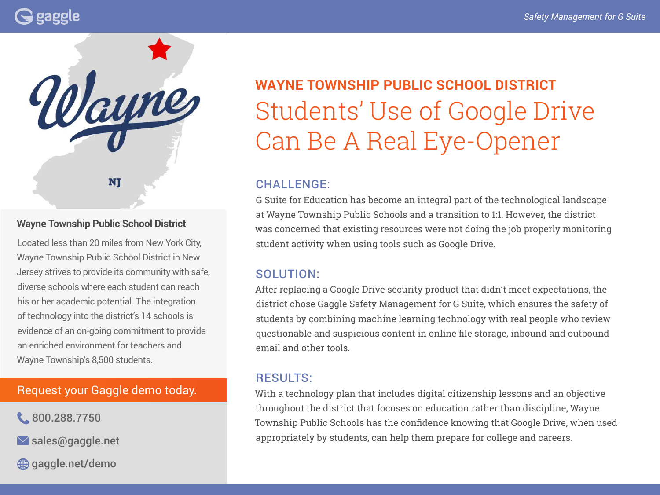# G gaggle



### **Wayne Township Public School District**

Located less than 20 miles from New York City, Wayne Township Public School District in New Jersey strives to provide its community with safe, diverse schools where each student can reach his or her academic potential. The integration of technology into the district's 14 schools is evidence of an on-going commitment to provide an enriched environment for teachers and Wayne Township's 8,500 students.

## Request your Gaggle demo today.

1800.288.7750

 $\blacktriangleright$  sales@gaggle.net

#### gaggle.net/demo

**WAYNE TOWNSHIP PUBLIC SCHOOL DISTRICT** Students' Use of Google Drive Can Be A Real Eye-Opener

# CHALLENGE:

G Suite for Education has become an integral part of the technological landscape at Wayne Township Public Schools and a transition to 1:1. However, the district was concerned that existing resources were not doing the job properly monitoring student activity when using tools such as Google Drive.

### SOLUTION:

After replacing a Google Drive security product that didn't meet expectations, the district chose Gaggle Safety Management for G Suite, which ensures the safety of students by combining machine learning technology with real people who review questionable and suspicious content in online file storage, inbound and outbound email and other tools.

#### RESULTS:

With a technology plan that includes digital citizenship lessons and an objective throughout the district that focuses on education rather than discipline, Wayne Township Public Schools has the confidence knowing that Google Drive, when used appropriately by students, can help them prepare for college and careers.